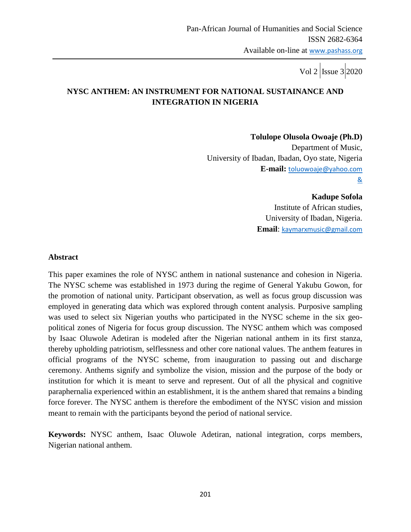# **NYSC ANTHEM: AN INSTRUMENT FOR NATIONAL SUSTAINANCE AND INTEGRATION IN NIGERIA**

**Tolulope Olusola Owoaje (Ph.D)**

Department of Music, University of Ibadan, Ibadan, Oyo state, Nigeria **E-mail:** [toluowoaje@yahoo.com](mailto:toluowoaje@yahoo.com) &

**Kadupe Sofola**

Institute of African studies, University of Ibadan, Nigeria. **Email**: [kaymarxmusic@gmail.com](mailto:kaymarxmusic@gmail.com)

### **Abstract**

This paper examines the role of NYSC anthem in national sustenance and cohesion in Nigeria. The NYSC scheme was established in 1973 during the regime of General Yakubu Gowon, for the promotion of national unity. Participant observation, as well as focus group discussion was employed in generating data which was explored through content analysis. Purposive sampling was used to select six Nigerian youths who participated in the NYSC scheme in the six geopolitical zones of Nigeria for focus group discussion. The NYSC anthem which was composed by Isaac Oluwole Adetiran is modeled after the Nigerian national anthem in its first stanza, thereby upholding patriotism, selflessness and other core national values. The anthem features in official programs of the NYSC scheme, from inauguration to passing out and discharge ceremony. Anthems signify and symbolize the vision, mission and the purpose of the body or institution for which it is meant to serve and represent. Out of all the physical and cognitive paraphernalia experienced within an establishment, it is the anthem shared that remains a binding force forever. The NYSC anthem is therefore the embodiment of the NYSC vision and mission meant to remain with the participants beyond the period of national service.

**Keywords:** NYSC anthem, Isaac Oluwole Adetiran, national integration, corps members, Nigerian national anthem.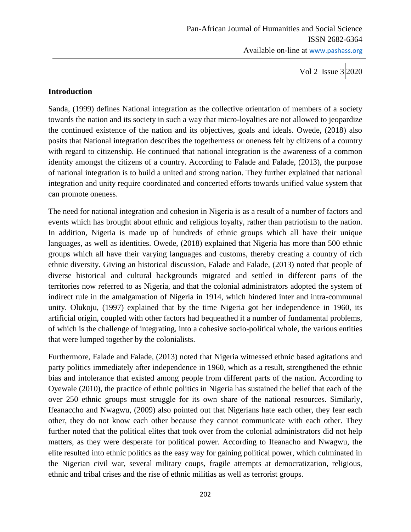## **Introduction**

Sanda, (1999) defines National integration as the collective orientation of members of a society towards the nation and its society in such a way that micro-loyalties are not allowed to jeopardize the continued existence of the nation and its objectives, goals and ideals. Owede, (2018) also posits that National integration describes the togetherness or oneness felt by citizens of a country with regard to citizenship. He continued that national integration is the awareness of a common identity amongst the citizens of a country. According to Falade and Falade, (2013), the purpose of national integration is to build a united and strong nation. They further explained that national integration and unity require coordinated and concerted efforts towards unified value system that can promote oneness.

The need for national integration and cohesion in Nigeria is as a result of a number of factors and events which has brought about ethnic and religious loyalty, rather than patriotism to the nation. In addition, Nigeria is made up of hundreds of ethnic groups which all have their unique languages, as well as identities. Owede, (2018) explained that Nigeria has more than 500 ethnic groups which all have their varying languages and customs, thereby creating a country of rich ethnic diversity. Giving an historical discussion, Falade and Falade, (2013) noted that people of diverse historical and cultural backgrounds migrated and settled in different parts of the territories now referred to as Nigeria, and that the colonial administrators adopted the system of indirect rule in the amalgamation of Nigeria in 1914, which hindered inter and intra-communal unity. Olukoju, (1997) explained that by the time Nigeria got her independence in 1960, its artificial origin, coupled with other factors had bequeathed it a number of fundamental problems, of which is the challenge of integrating, into a cohesive socio-political whole, the various entities that were lumped together by the colonialists.

Furthermore, Falade and Falade, (2013) noted that Nigeria witnessed ethnic based agitations and party politics immediately after independence in 1960, which as a result, strengthened the ethnic bias and intolerance that existed among people from different parts of the nation. According to Oyewale (2010), the practice of ethnic politics in Nigeria has sustained the belief that each of the over 250 ethnic groups must struggle for its own share of the national resources. Similarly, Ifeanaccho and Nwagwu, (2009) also pointed out that Nigerians hate each other, they fear each other, they do not know each other because they cannot communicate with each other. They further noted that the political elites that took over from the colonial administrators did not help matters, as they were desperate for political power. According to Ifeanacho and Nwagwu, the elite resulted into ethnic politics as the easy way for gaining political power, which culminated in the Nigerian civil war, several military coups, fragile attempts at democratization, religious, ethnic and tribal crises and the rise of ethnic militias as well as terrorist groups.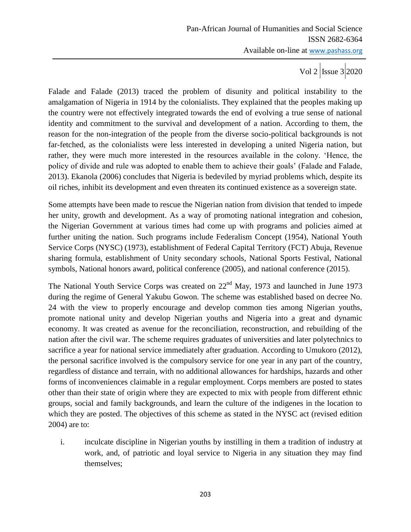Vol 2  $\vert$ Issue 3 2020

Falade and Falade (2013) traced the problem of disunity and political instability to the amalgamation of Nigeria in 1914 by the colonialists. They explained that the peoples making up the country were not effectively integrated towards the end of evolving a true sense of national identity and commitment to the survival and development of a nation. According to them, the reason for the non-integration of the people from the diverse socio-political backgrounds is not far-fetched, as the colonialists were less interested in developing a united Nigeria nation, but rather, they were much more interested in the resources available in the colony. "Hence, the policy of divide and rule was adopted to enable them to achieve their goals" (Falade and Falade, 2013). Ekanola (2006) concludes that Nigeria is bedeviled by myriad problems which, despite its oil riches, inhibit its development and even threaten its continued existence as a sovereign state.

Some attempts have been made to rescue the Nigerian nation from division that tended to impede her unity, growth and development. As a way of promoting national integration and cohesion, the Nigerian Government at various times had come up with programs and policies aimed at further uniting the nation. Such programs include Federalism Concept (1954), National Youth Service Corps (NYSC) (1973), establishment of Federal Capital Territory (FCT) Abuja, Revenue sharing formula, establishment of Unity secondary schools, National Sports Festival, National symbols, National honors award, political conference (2005), and national conference (2015).

The National Youth Service Corps was created on 22<sup>nd</sup> May, 1973 and launched in June 1973 during the regime of General Yakubu Gowon. The scheme was established based on decree No. 24 with the view to properly encourage and develop common ties among Nigerian youths, promote national unity and develop Nigerian youths and Nigeria into a great and dynamic economy. It was created as avenue for the reconciliation, reconstruction, and rebuilding of the nation after the civil war. The scheme requires graduates of universities and later polytechnics to sacrifice a year for national service immediately after graduation. According to Umukoro (2012), the personal sacrifice involved is the compulsory service for one year in any part of the country, regardless of distance and terrain, with no additional allowances for hardships, hazards and other forms of inconveniences claimable in a regular employment. Corps members are posted to states other than their state of origin where they are expected to mix with people from different ethnic groups, social and family backgrounds, and learn the culture of the indigenes in the location to which they are posted. The objectives of this scheme as stated in the NYSC act (revised edition 2004) are to:

i. inculcate discipline in Nigerian youths by instilling in them a tradition of industry at work, and, of patriotic and loyal service to Nigeria in any situation they may find themselves;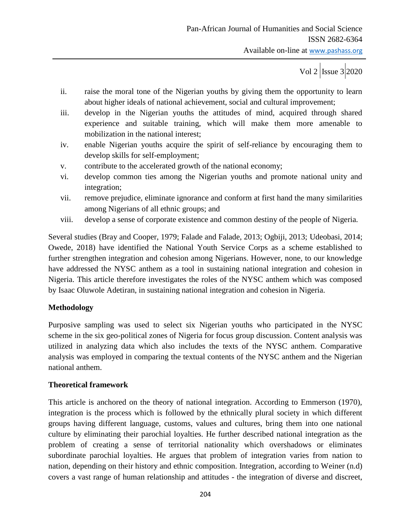- ii. raise the moral tone of the Nigerian youths by giving them the opportunity to learn about higher ideals of national achievement, social and cultural improvement;
- iii. develop in the Nigerian youths the attitudes of mind, acquired through shared experience and suitable training, which will make them more amenable to mobilization in the national interest;
- iv. enable Nigerian youths acquire the spirit of self-reliance by encouraging them to develop skills for self-employment;
- v. contribute to the accelerated growth of the national economy;
- vi. develop common ties among the Nigerian youths and promote national unity and integration;
- vii. remove prejudice, eliminate ignorance and conform at first hand the many similarities among Nigerians of all ethnic groups; and
- viii. develop a sense of corporate existence and common destiny of the people of Nigeria.

Several studies (Bray and Cooper, 1979; Falade and Falade, 2013; Ogbiji, 2013; Udeobasi, 2014; Owede, 2018) have identified the National Youth Service Corps as a scheme established to further strengthen integration and cohesion among Nigerians. However, none, to our knowledge have addressed the NYSC anthem as a tool in sustaining national integration and cohesion in Nigeria. This article therefore investigates the roles of the NYSC anthem which was composed by Isaac Oluwole Adetiran, in sustaining national integration and cohesion in Nigeria.

# **Methodology**

Purposive sampling was used to select six Nigerian youths who participated in the NYSC scheme in the six geo-political zones of Nigeria for focus group discussion. Content analysis was utilized in analyzing data which also includes the texts of the NYSC anthem. Comparative analysis was employed in comparing the textual contents of the NYSC anthem and the Nigerian national anthem.

# **Theoretical framework**

This article is anchored on the theory of national integration. According to Emmerson (1970), integration is the process which is followed by the ethnically plural society in which different groups having different language, customs, values and cultures, bring them into one national culture by eliminating their parochial loyalties. He further described national integration as the problem of creating a sense of territorial nationality which overshadows or eliminates subordinate parochial loyalties. He argues that problem of integration varies from nation to nation, depending on their history and ethnic composition. Integration, according to Weiner (n.d) covers a vast range of human relationship and attitudes - the integration of diverse and discreet,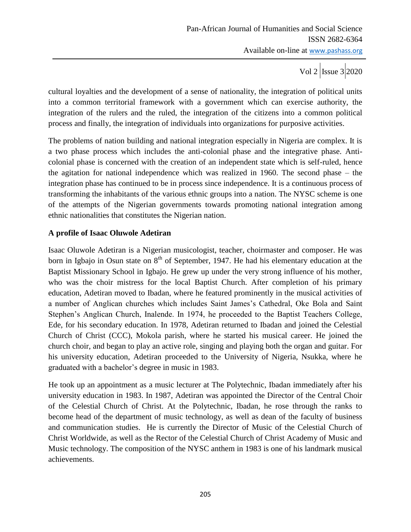cultural loyalties and the development of a sense of nationality, the integration of political units into a common territorial framework with a government which can exercise authority, the integration of the rulers and the ruled, the integration of the citizens into a common political process and finally, the integration of individuals into organizations for purposive activities.

The problems of nation building and national integration especially in Nigeria are complex. It is a two phase process which includes the anti-colonial phase and the integrative phase. Anticolonial phase is concerned with the creation of an independent state which is self-ruled, hence the agitation for national independence which was realized in 1960. The second phase – the integration phase has continued to be in process since independence. It is a continuous process of transforming the inhabitants of the various ethnic groups into a nation. The NYSC scheme is one of the attempts of the Nigerian governments towards promoting national integration among ethnic nationalities that constitutes the Nigerian nation.

# **A profile of Isaac Oluwole Adetiran**

Isaac Oluwole Adetiran is a Nigerian musicologist, teacher, choirmaster and composer. He was born in Igbajo in Osun state on  $8<sup>th</sup>$  of September, 1947. He had his elementary education at the Baptist Missionary School in Igbajo. He grew up under the very strong influence of his mother, who was the choir mistress for the local Baptist Church. After completion of his primary education, Adetiran moved to Ibadan, where he featured prominently in the musical activities of a number of Anglican churches which includes Saint James"s Cathedral, Oke Bola and Saint Stephen"s Anglican Church, Inalende. In 1974, he proceeded to the Baptist Teachers College, Ede, for his secondary education. In 1978, Adetiran returned to Ibadan and joined the Celestial Church of Christ (CCC), Mokola parish, where he started his musical career. He joined the church choir, and began to play an active role, singing and playing both the organ and guitar. For his university education, Adetiran proceeded to the University of Nigeria, Nsukka, where he graduated with a bachelor"s degree in music in 1983.

He took up an appointment as a music lecturer at The Polytechnic, Ibadan immediately after his university education in 1983. In 1987, Adetiran was appointed the Director of the Central Choir of the Celestial Church of Christ. At the Polytechnic, Ibadan, he rose through the ranks to become head of the department of music technology, as well as dean of the faculty of business and communication studies. He is currently the Director of Music of the Celestial Church of Christ Worldwide, as well as the Rector of the Celestial Church of Christ Academy of Music and Music technology. The composition of the NYSC anthem in 1983 is one of his landmark musical achievements.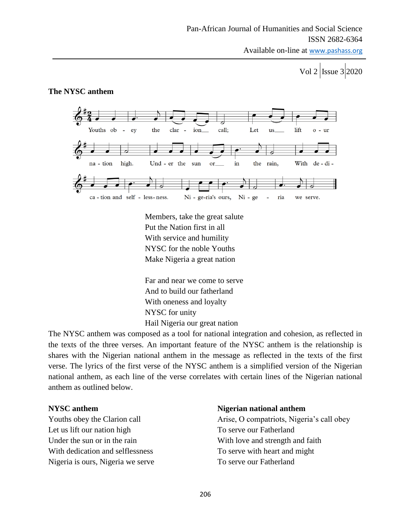Available on-line at www.pashass.org

Vol 2 | Issue 3 | 2020

#### **The NYSC anthem**



Members, take the great salute Put the Nation first in all With service and humility NYSC for the noble Youths Make Nigeria a great nation

Far and near we come to serve And to build our fatherland With oneness and loyalty NYSC for unity Hail Nigeria our great nation

The NYSC anthem was composed as a tool for national integration and cohesion, as reflected in the texts of the three verses. An important feature of the NYSC anthem is the relationship is shares with the Nigerian national anthem in the message as reflected in the texts of the first verse. The lyrics of the first verse of the NYSC anthem is a simplified version of the Nigerian national anthem, as each line of the verse correlates with certain lines of the Nigerian national anthem as outlined below.

Let us lift our nation high To serve our Fatherland With dedication and selflessness To serve with heart and might Nigeria is ours, Nigeria we serve To serve our Fatherland

#### **NYSC anthem Nigerian national anthem**

Youths obey the Clarion call Arise, O compatriots, Nigeria's call obey Under the sun or in the rain With love and strength and faith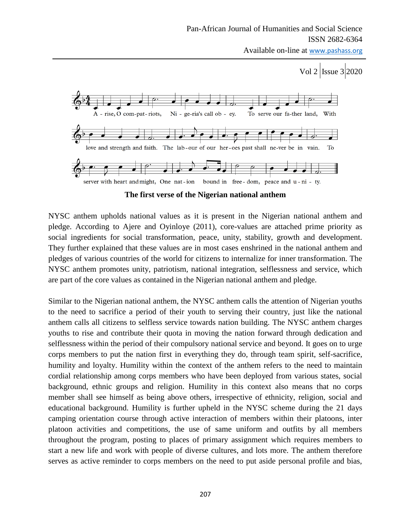Available on-line at www.pashass.org

Vol 2 | Issue  $3|2020$ 



**The first verse of the Nigerian national anthem**

NYSC anthem upholds national values as it is present in the Nigerian national anthem and pledge. According to Ajere and Oyinloye (2011), core-values are attached prime priority as social ingredients for social transformation, peace, unity, stability, growth and development. They further explained that these values are in most cases enshrined in the national anthem and pledges of various countries of the world for citizens to internalize for inner transformation. The NYSC anthem promotes unity, patriotism, national integration, selflessness and service, which are part of the core values as contained in the Nigerian national anthem and pledge.

Similar to the Nigerian national anthem, the NYSC anthem calls the attention of Nigerian youths to the need to sacrifice a period of their youth to serving their country, just like the national anthem calls all citizens to selfless service towards nation building. The NYSC anthem charges youths to rise and contribute their quota in moving the nation forward through dedication and selflessness within the period of their compulsory national service and beyond. It goes on to urge corps members to put the nation first in everything they do, through team spirit, self-sacrifice, humility and loyalty. Humility within the context of the anthem refers to the need to maintain cordial relationship among corps members who have been deployed from various states, social background, ethnic groups and religion. Humility in this context also means that no corps member shall see himself as being above others, irrespective of ethnicity, religion, social and educational background. Humility is further upheld in the NYSC scheme during the 21 days camping orientation course through active interaction of members within their platoons, inter platoon activities and competitions, the use of same uniform and outfits by all members throughout the program, posting to places of primary assignment which requires members to start a new life and work with people of diverse cultures, and lots more. The anthem therefore serves as active reminder to corps members on the need to put aside personal profile and bias,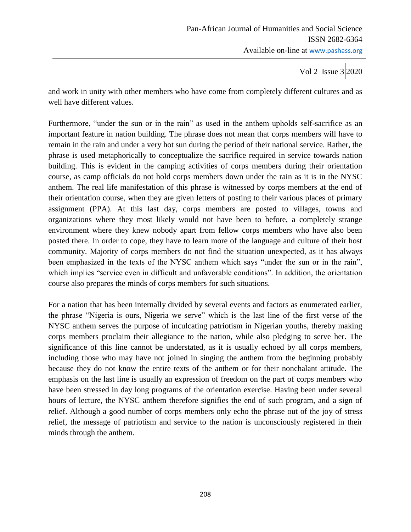and work in unity with other members who have come from completely different cultures and as well have different values.

Furthermore, "under the sun or in the rain" as used in the anthem upholds self-sacrifice as an important feature in nation building. The phrase does not mean that corps members will have to remain in the rain and under a very hot sun during the period of their national service. Rather, the phrase is used metaphorically to conceptualize the sacrifice required in service towards nation building. This is evident in the camping activities of corps members during their orientation course, as camp officials do not hold corps members down under the rain as it is in the NYSC anthem. The real life manifestation of this phrase is witnessed by corps members at the end of their orientation course, when they are given letters of posting to their various places of primary assignment (PPA). At this last day, corps members are posted to villages, towns and organizations where they most likely would not have been to before, a completely strange environment where they knew nobody apart from fellow corps members who have also been posted there. In order to cope, they have to learn more of the language and culture of their host community. Majority of corps members do not find the situation unexpected, as it has always been emphasized in the texts of the NYSC anthem which says "under the sun or in the rain", which implies "service even in difficult and unfavorable conditions". In addition, the orientation course also prepares the minds of corps members for such situations.

For a nation that has been internally divided by several events and factors as enumerated earlier, the phrase "Nigeria is ours, Nigeria we serve" which is the last line of the first verse of the NYSC anthem serves the purpose of inculcating patriotism in Nigerian youths, thereby making corps members proclaim their allegiance to the nation, while also pledging to serve her. The significance of this line cannot be understated, as it is usually echoed by all corps members, including those who may have not joined in singing the anthem from the beginning probably because they do not know the entire texts of the anthem or for their nonchalant attitude. The emphasis on the last line is usually an expression of freedom on the part of corps members who have been stressed in day long programs of the orientation exercise. Having been under several hours of lecture, the NYSC anthem therefore signifies the end of such program, and a sign of relief. Although a good number of corps members only echo the phrase out of the joy of stress relief, the message of patriotism and service to the nation is unconsciously registered in their minds through the anthem.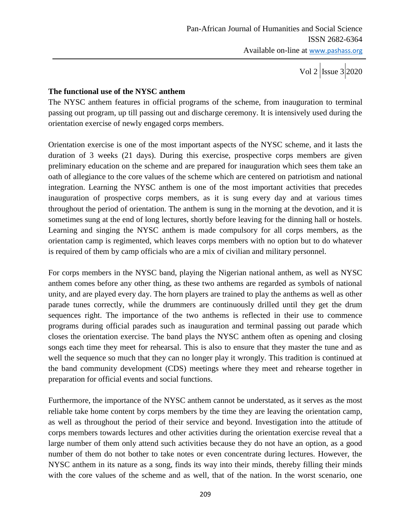## **The functional use of the NYSC anthem**

The NYSC anthem features in official programs of the scheme, from inauguration to terminal passing out program, up till passing out and discharge ceremony. It is intensively used during the orientation exercise of newly engaged corps members.

Orientation exercise is one of the most important aspects of the NYSC scheme, and it lasts the duration of 3 weeks (21 days). During this exercise, prospective corps members are given preliminary education on the scheme and are prepared for inauguration which sees them take an oath of allegiance to the core values of the scheme which are centered on patriotism and national integration. Learning the NYSC anthem is one of the most important activities that precedes inauguration of prospective corps members, as it is sung every day and at various times throughout the period of orientation. The anthem is sung in the morning at the devotion, and it is sometimes sung at the end of long lectures, shortly before leaving for the dinning hall or hostels. Learning and singing the NYSC anthem is made compulsory for all corps members, as the orientation camp is regimented, which leaves corps members with no option but to do whatever is required of them by camp officials who are a mix of civilian and military personnel.

For corps members in the NYSC band, playing the Nigerian national anthem, as well as NYSC anthem comes before any other thing, as these two anthems are regarded as symbols of national unity, and are played every day. The horn players are trained to play the anthems as well as other parade tunes correctly, while the drummers are continuously drilled until they get the drum sequences right. The importance of the two anthems is reflected in their use to commence programs during official parades such as inauguration and terminal passing out parade which closes the orientation exercise. The band plays the NYSC anthem often as opening and closing songs each time they meet for rehearsal. This is also to ensure that they master the tune and as well the sequence so much that they can no longer play it wrongly. This tradition is continued at the band community development (CDS) meetings where they meet and rehearse together in preparation for official events and social functions.

Furthermore, the importance of the NYSC anthem cannot be understated, as it serves as the most reliable take home content by corps members by the time they are leaving the orientation camp, as well as throughout the period of their service and beyond. Investigation into the attitude of corps members towards lectures and other activities during the orientation exercise reveal that a large number of them only attend such activities because they do not have an option, as a good number of them do not bother to take notes or even concentrate during lectures. However, the NYSC anthem in its nature as a song, finds its way into their minds, thereby filling their minds with the core values of the scheme and as well, that of the nation. In the worst scenario, one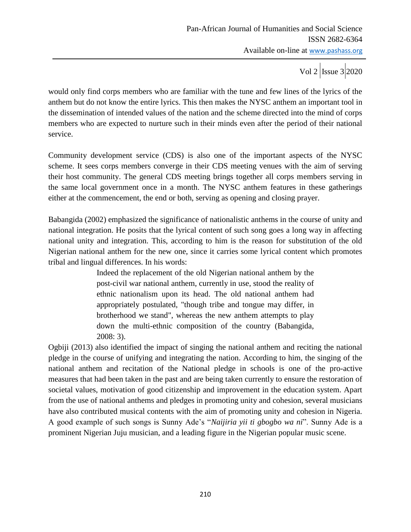Vol 2  $\vert$ Issue 3 2020

would only find corps members who are familiar with the tune and few lines of the lyrics of the anthem but do not know the entire lyrics. This then makes the NYSC anthem an important tool in the dissemination of intended values of the nation and the scheme directed into the mind of corps members who are expected to nurture such in their minds even after the period of their national service.

Community development service (CDS) is also one of the important aspects of the NYSC scheme. It sees corps members converge in their CDS meeting venues with the aim of serving their host community. The general CDS meeting brings together all corps members serving in the same local government once in a month. The NYSC anthem features in these gatherings either at the commencement, the end or both, serving as opening and closing prayer.

Babangida (2002) emphasized the significance of nationalistic anthems in the course of unity and national integration. He posits that the lyrical content of such song goes a long way in affecting national unity and integration. This, according to him is the reason for substitution of the old Nigerian national anthem for the new one, since it carries some lyrical content which promotes tribal and lingual differences. In his words:

> Indeed the replacement of the old Nigerian national anthem by the post-civil war national anthem, currently in use, stood the reality of ethnic nationalism upon its head. The old national anthem had appropriately postulated, "though tribe and tongue may differ, in brotherhood we stand", whereas the new anthem attempts to play down the multi-ethnic composition of the country (Babangida, 2008: 3).

Ogbiji (2013) also identified the impact of singing the national anthem and reciting the national pledge in the course of unifying and integrating the nation. According to him, the singing of the national anthem and recitation of the National pledge in schools is one of the pro-active measures that had been taken in the past and are being taken currently to ensure the restoration of societal values, motivation of good citizenship and improvement in the education system. Apart from the use of national anthems and pledges in promoting unity and cohesion, several musicians have also contributed musical contents with the aim of promoting unity and cohesion in Nigeria. A good example of such songs is Sunny Ade"s "*Naijiria yii ti gbogbo wa ni*". Sunny Ade is a prominent Nigerian Juju musician, and a leading figure in the Nigerian popular music scene.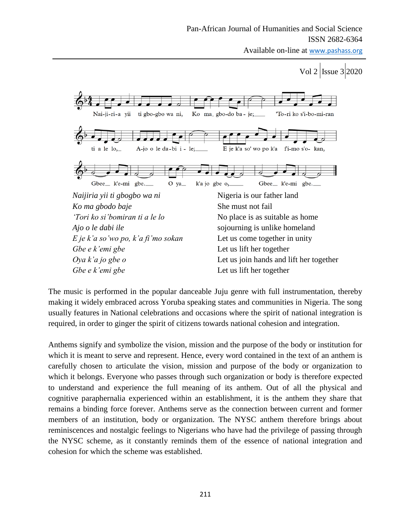Available on-line at www.pashass.org

Vol 2 Issue 3 2020



The music is performed in the popular danceable Juju genre with full instrumentation, thereby making it widely embraced across Yoruba speaking states and communities in Nigeria. The song usually features in National celebrations and occasions where the spirit of national integration is required, in order to ginger the spirit of citizens towards national cohesion and integration.

Anthems signify and symbolize the vision, mission and the purpose of the body or institution for which it is meant to serve and represent. Hence, every word contained in the text of an anthem is carefully chosen to articulate the vision, mission and purpose of the body or organization to which it belongs. Everyone who passes through such organization or body is therefore expected to understand and experience the full meaning of its anthem. Out of all the physical and cognitive paraphernalia experienced within an establishment, it is the anthem they share that remains a binding force forever. Anthems serve as the connection between current and former members of an institution, body or organization. The NYSC anthem therefore brings about reminiscences and nostalgic feelings to Nigerians who have had the privilege of passing through the NYSC scheme, as it constantly reminds them of the essence of national integration and cohesion for which the scheme was established.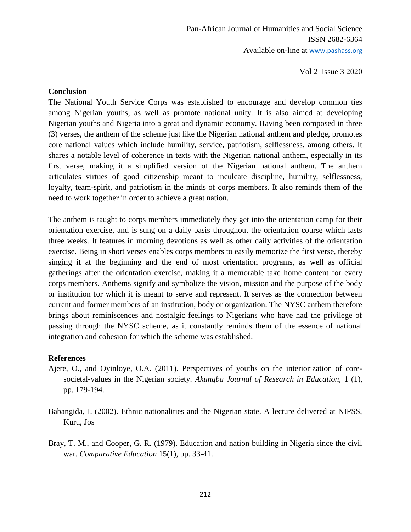Vol 2  $\vert$ Issue 3 2020

## **Conclusion**

The National Youth Service Corps was established to encourage and develop common ties among Nigerian youths, as well as promote national unity. It is also aimed at developing Nigerian youths and Nigeria into a great and dynamic economy. Having been composed in three (3) verses, the anthem of the scheme just like the Nigerian national anthem and pledge, promotes core national values which include humility, service, patriotism, selflessness, among others. It shares a notable level of coherence in texts with the Nigerian national anthem, especially in its first verse, making it a simplified version of the Nigerian national anthem. The anthem articulates virtues of good citizenship meant to inculcate discipline, humility, selflessness, loyalty, team-spirit, and patriotism in the minds of corps members. It also reminds them of the need to work together in order to achieve a great nation.

The anthem is taught to corps members immediately they get into the orientation camp for their orientation exercise, and is sung on a daily basis throughout the orientation course which lasts three weeks. It features in morning devotions as well as other daily activities of the orientation exercise. Being in short verses enables corps members to easily memorize the first verse, thereby singing it at the beginning and the end of most orientation programs, as well as official gatherings after the orientation exercise, making it a memorable take home content for every corps members. Anthems signify and symbolize the vision, mission and the purpose of the body or institution for which it is meant to serve and represent. It serves as the connection between current and former members of an institution, body or organization. The NYSC anthem therefore brings about reminiscences and nostalgic feelings to Nigerians who have had the privilege of passing through the NYSC scheme, as it constantly reminds them of the essence of national integration and cohesion for which the scheme was established.

# **References**

- Ajere, O., and Oyinloye, O.A. (2011). Perspectives of youths on the interiorization of coresocietal-values in the Nigerian society. *Akungba Journal of Research in Education,* 1 (1), pp. 179-194.
- Babangida, I. (2002). Ethnic nationalities and the Nigerian state. A lecture delivered at NIPSS, Kuru, Jos
- Bray, T. M., and Cooper, G. R. (1979). Education and nation building in Nigeria since the civil war. *Comparative Education* 15(1), pp. 33-41.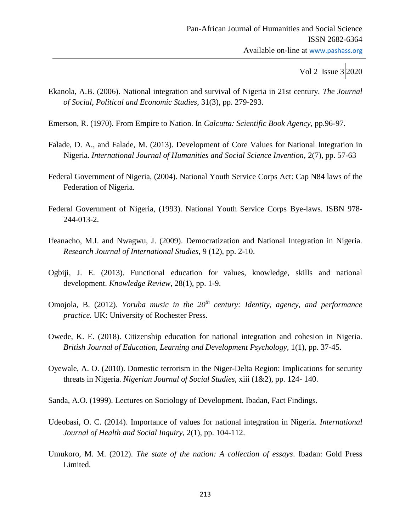- Ekanola, A.B. (2006). National integration and survival of Nigeria in 21st century. *The Journal of Social, Political and Economic Studies,* 31(3), pp. 279-293.
- Emerson, R. (1970). From Empire to Nation. In *Calcutta: Scientific Book Agency*, pp.96-97.
- Falade, D. A., and Falade, M. (2013). Development of Core Values for National Integration in Nigeria. *International Journal of Humanities and Social Science Invention,* 2(7), pp. 57-63
- Federal Government of Nigeria, (2004). National Youth Service Corps Act: Cap N84 laws of the Federation of Nigeria.
- Federal Government of Nigeria, (1993). National Youth Service Corps Bye-laws. ISBN 978- 244-013-2.
- Ifeanacho, M.I. and Nwagwu, J. (2009). Democratization and National Integration in Nigeria. *Research Journal of International Studies*, 9 (12), pp. 2-10.
- Ogbiji, J. E. (2013). Functional education for values, knowledge, skills and national development. *Knowledge Review*, 28(1), pp. 1-9.
- Omojola, B. (2012). *Yoruba music in the 20th century: Identity, agency, and performance practice.* UK: University of Rochester Press.
- Owede, K. E. (2018). Citizenship education for national integration and cohesion in Nigeria. *British Journal of Education, Learning and Development Psychology,* 1(1), pp. 37-45.
- Oyewale, A. O. (2010). Domestic terrorism in the Niger-Delta Region: Implications for security threats in Nigeria. *Nigerian Journal of Social Studies*, xiii (1&2), pp. 124- 140.
- Sanda, A.O. (1999). Lectures on Sociology of Development. Ibadan, Fact Findings.
- Udeobasi, O. C. (2014). Importance of values for national integration in Nigeria. *International Journal of Health and Social Inquiry,* 2(1), pp. 104-112.
- Umukoro, M. M. (2012). *The state of the nation: A collection of essays*. Ibadan: Gold Press Limited.